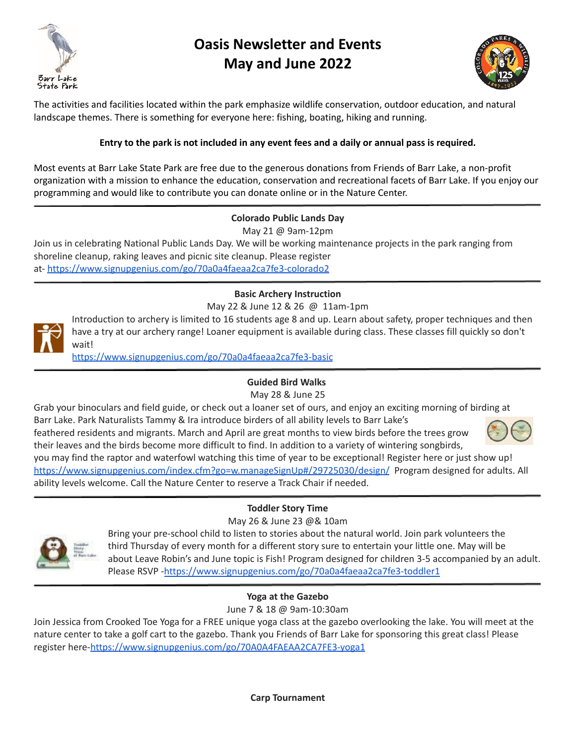

# **Oasis Newsletter and Events May and June 2022**



The activities and facilities located within the park emphasize wildlife conservation, outdoor education, and natural landscape themes. There is something for everyone here: fishing, boating, hiking and running.

# **Entry to the park is not included in any event fees and a daily or annual pass is required.**

Most events at Barr Lake State Park are free due to the generous donations from Friends of Barr Lake, a non-profit organization with a mission to enhance the education, conservation and recreational facets of Barr Lake. If you enjoy our programming and would like to contribute you can donate online or in the Nature Center.

## **Colorado Public Lands Day**

May 21 @ 9am-12pm

Join us in celebrating National Public Lands Day. We will be working maintenance projects in the park ranging from shoreline cleanup, raking leaves and picnic site cleanup. Please register at- <https://www.signupgenius.com/go/70a0a4faeaa2ca7fe3-colorado2>

#### **Basic Archery Instruction** May 22 & June 12 & 26 @ 11am-1pm



Introduction to archery is limited to 16 students age 8 and up. Learn about safety, proper techniques and then have a try at our archery range! Loaner equipment is available during class. These classes fill quickly so don't wait!

<https://www.signupgenius.com/go/70a0a4faeaa2ca7fe3-basic>

## **Guided Bird Walks**

May 28 & June 25

Grab your binoculars and field guide, or check out a loaner set of ours, and enjoy an exciting morning of birding at Barr Lake. Park Naturalists Tammy & Ira introduce birders of all ability levels to Barr Lake's feathered residents and migrants. March and April are great months to view birds before the trees grow their leaves and the birds become more difficult to find. In addition to a variety of wintering songbirds, you may find the raptor and waterfowl watching this time of year to be exceptional! Register here or just show up! <https://www.signupgenius.com/index.cfm?go=w.manageSignUp#/29725030/design/> Program designed for adults. All ability levels welcome. Call the Nature Center to reserve a Track Chair if needed.

# **Toddler Story Time**

May 26 & June 23 @& 10am



Bring your pre-school child to listen to stories about the natural world. Join park volunteers the third Thursday of every month for a different story sure to entertain your little one. May will be about Leave Robin's and June topic is Fish! Program designed for children 3-5 accompanied by an adult. Please RSVP -<https://www.signupgenius.com/go/70a0a4faeaa2ca7fe3-toddler1>

# **Yoga at the Gazebo**

June 7 & 18 @ 9am-10:30am

Join Jessica from Crooked Toe Yoga for a FREE unique yoga class at the gazebo overlooking the lake. You will meet at the nature center to take a golf cart to the gazebo. Thank you Friends of Barr Lake for sponsoring this great class! Please register here[-https://www.signupgenius.com/go/70A0A4FAEAA2CA7FE3-yoga1](https://www.signupgenius.com/go/70A0A4FAEAA2CA7FE3-yoga1)

**Carp Tournament**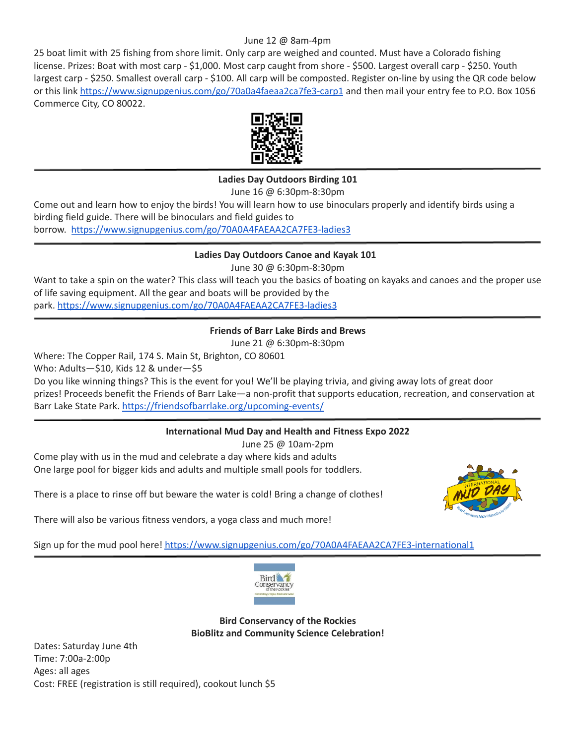#### June 12 @ 8am-4pm

25 boat limit with 25 fishing from shore limit. Only carp are weighed and counted. Must have a Colorado fishing license. Prizes: Boat with most carp - \$1,000. Most carp caught from shore - \$500. Largest overall carp - \$250. Youth largest carp - \$250. Smallest overall carp - \$100. All carp will be composted. Register on-line by using the QR code below or this link <https://www.signupgenius.com/go/70a0a4faeaa2ca7fe3-carp1> and then mail your entry fee to P.O. Box 1056 Commerce City, CO 80022.



## **Ladies Day Outdoors Birding 101**

June 16 @ 6:30pm-8:30pm

Come out and learn how to enjoy the birds! You will learn how to use binoculars properly and identify birds using a birding field guide. There will be binoculars and field guides to borrow. <https://www.signupgenius.com/go/70A0A4FAEAA2CA7FE3-ladies3>

#### **Ladies Day Outdoors Canoe and Kayak 101**

June 30 @ 6:30pm-8:30pm

Want to take a spin on the water? This class will teach you the basics of boating on kayaks and canoes and the proper use of life saving equipment. All the gear and boats will be provided by the park. <https://www.signupgenius.com/go/70A0A4FAEAA2CA7FE3-ladies3>

## **Friends of Barr Lake Birds and Brews**

June 21 @ 6:30pm-8:30pm

Where: The Copper Rail, 174 S. Main St, Brighton, CO 80601

Who: Adults—\$10, Kids 12 & under—\$5

Do you like winning things? This is the event for you! We'll be playing trivia, and giving away lots of great door prizes! Proceeds benefit the Friends of Barr Lake—a non‐profit that supports education, recreation, and conservation at Barr Lake State Park. <https://friendsofbarrlake.org/upcoming-events/>

## **International Mud Day and Health and Fitness Expo 2022**

June 25 @ 10am-2pm Come play with us in the mud and celebrate a day where kids and adults One large pool for bigger kids and adults and multiple small pools for toddlers.

There is a place to rinse off but beware the water is cold! Bring a change of clothes!

There will also be various fitness vendors, a yoga class and much more!



Sign up for the mud pool here! <https://www.signupgenius.com/go/70A0A4FAEAA2CA7FE3-international1>



**Bird Conservancy of the Rockies BioBlitz and Community Science Celebration!**

Dates: Saturday June 4th Time: 7:00a-2:00p Ages: all ages Cost: FREE (registration is still required), cookout lunch \$5